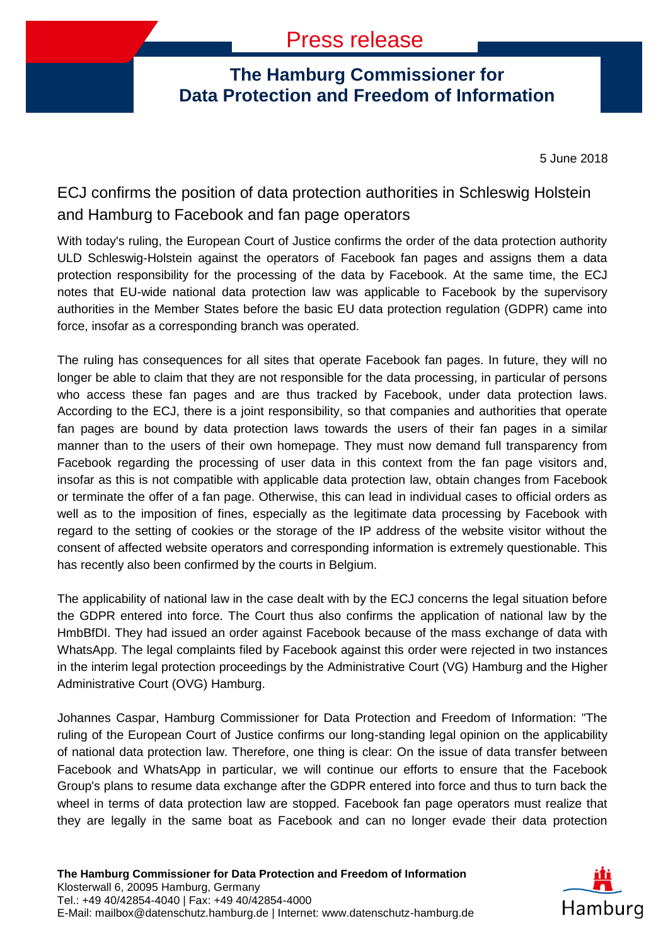## **The Hamburg Commissioner for Data Protection and Freedom of Information**

5 June 2018

## ECJ confirms the position of data protection authorities in Schleswig Holstein and Hamburg to Facebook and fan page operators

With today's ruling, the European Court of Justice confirms the order of the data protection authority ULD Schleswig-Holstein against the operators of Facebook fan pages and assigns them a data protection responsibility for the processing of the data by Facebook. At the same time, the ECJ notes that EU-wide national data protection law was applicable to Facebook by the supervisory authorities in the Member States before the basic EU data protection regulation (GDPR) came into force, insofar as a corresponding branch was operated.

The ruling has consequences for all sites that operate Facebook fan pages. In future, they will no longer be able to claim that they are not responsible for the data processing, in particular of persons who access these fan pages and are thus tracked by Facebook, under data protection laws. According to the ECJ, there is a joint responsibility, so that companies and authorities that operate fan pages are bound by data protection laws towards the users of their fan pages in a similar manner than to the users of their own homepage. They must now demand full transparency from Facebook regarding the processing of user data in this context from the fan page visitors and, insofar as this is not compatible with applicable data protection law, obtain changes from Facebook or terminate the offer of a fan page. Otherwise, this can lead in individual cases to official orders as well as to the imposition of fines, especially as the legitimate data processing by Facebook with regard to the setting of cookies or the storage of the IP address of the website visitor without the consent of affected website operators and corresponding information is extremely questionable. This has recently also been confirmed by the courts in Belgium.

The applicability of national law in the case dealt with by the ECJ concerns the legal situation before the GDPR entered into force. The Court thus also confirms the application of national law by the HmbBfDI. They had issued an order against Facebook because of the mass exchange of data with WhatsApp. The legal complaints filed by Facebook against this order were rejected in two instances in the interim legal protection proceedings by the Administrative Court (VG) Hamburg and the Higher Administrative Court (OVG) Hamburg.

Johannes Caspar, Hamburg Commissioner for Data Protection and Freedom of Information: "The ruling of the European Court of Justice confirms our long-standing legal opinion on the applicability of national data protection law. Therefore, one thing is clear: On the issue of data transfer between Facebook and WhatsApp in particular, we will continue our efforts to ensure that the Facebook Group's plans to resume data exchange after the GDPR entered into force and thus to turn back the wheel in terms of data protection law are stopped. Facebook fan page operators must realize that they are legally in the same boat as Facebook and can no longer evade their data protection